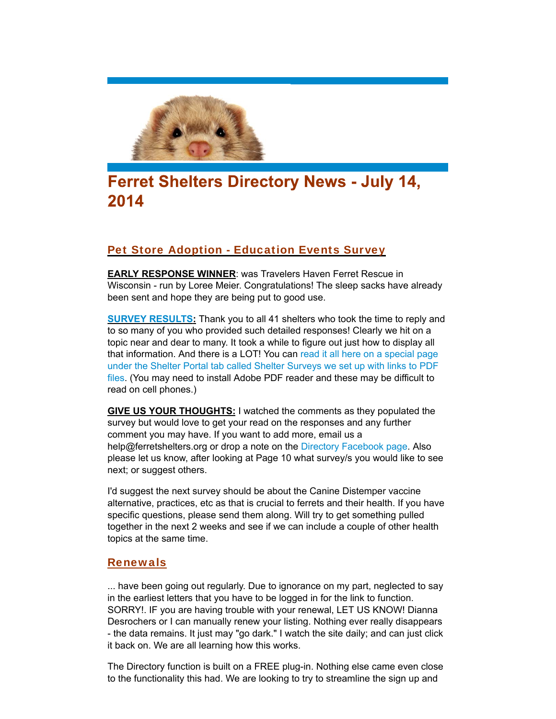

# **Ferret Shelters Directory News - July 14,** 2014

# Pet Store Adoption - Education Events Survey

**EARLY RESPONSE WINNER**: was Travelers Haven Ferret Rescue in Wisconsin - run by Loree Meier. Congratulations! The sleep sacks have already been sent and hope they are being put to good use.

**SURVEY RESULTS:** Thank you to all 41 shelters who took the time to reply and to so many of you who provided such detailed responses! Clearly we hit on a topic near and dear to many. It took a while to figure out just how to display all that information. And there is a LOT! You can read it all here on a special page under the Shelter Portal tab called Shelter Surveys we set up with links to PDF files. (You may need to install Adobe PDF reader and these may be difficult to read on cell phones.)

**GIVE US YOUR THOUGHTS:** I watched the comments as they populated the survey but would love to get your read on the responses and any further comment you may have. If you want to add more, email us a help@ferretshelters.org or drop a note on the Directory Facebook page. Also please let us know, after looking at Page 10 what survey/s you would like to see next; or suggest others.

I'd suggest the next survey should be about the Canine Distemper vaccine alternative, practices, etc as that is crucial to ferrets and their health. If you have specific questions, please send them along. Will try to get something pulled together in the next 2 weeks and see if we can include a couple of other health topics at the same time.

# **Renewals**

... have been going out regularly. Due to ignorance on my part, neglected to say in the earliest letters that you have to be logged in for the link to function. SORRY!. IF you are having trouble with your renewal, LET US KNOW! Dianna Desrochers or I can manually renew your listing. Nothing ever really disappears - the data remains. It just may "go dark." I watch the site daily; and can just click it back on. We are all learning how this works.

The Directory function is built on a FREE plug-in. Nothing else came even close to the functionality this had. We are looking to try to streamline the sign up and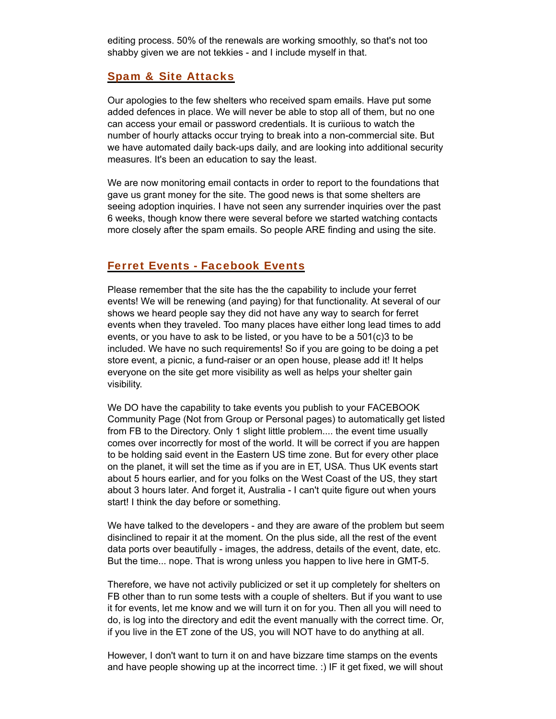editing process. 50% of the renewals are working smoothly, so that's not too shabby given we are not tekkies - and I include myself in that.

#### Spam & Site Attacks

Our apologies to the few shelters who received spam emails. Have put some added defences in place. We will never be able to stop all of them, but no one can access your email or password credentials. It is curiious to watch the number of hourly attacks occur trying to break into a non-commercial site. But we have automated daily back-ups daily, and are looking into additional security measures. It's been an education to say the least.

We are now monitoring email contacts in order to report to the foundations that gave us grant money for the site. The good news is that some shelters are seeing adoption inquiries. I have not seen any surrender inquiries over the past 6 weeks, though know there were several before we started watching contacts more closely after the spam emails. So people ARE finding and using the site.

### Ferret Events - Facebook Events

Please remember that the site has the the capability to include your ferret events! We will be renewing (and paying) for that functionality. At several of our shows we heard people say they did not have any way to search for ferret events when they traveled. Too many places have either long lead times to add events, or you have to ask to be listed, or you have to be a 501(c)3 to be included. We have no such requirements! So if you are going to be doing a pet store event, a picnic, a fund-raiser or an open house, please add it! It helps everyone on the site get more visibility as well as helps your shelter gain visibility.

We DO have the capability to take events you publish to your FACEBOOK Community Page (Not from Group or Personal pages) to automatically get listed from FB to the Directory. Only 1 slight little problem.... the event time usually comes over incorrectly for most of the world. It will be correct if you are happen to be holding said event in the Eastern US time zone. But for every other place on the planet, it will set the time as if you are in ET, USA. Thus UK events start about 5 hours earlier, and for you folks on the West Coast of the US, they start about 3 hours later. And forget it, Australia - I can't quite figure out when yours start! I think the day before or something.

We have talked to the developers - and they are aware of the problem but seem disinclined to repair it at the moment. On the plus side, all the rest of the event data ports over beautifully - images, the address, details of the event, date, etc. But the time... nope. That is wrong unless you happen to live here in GMT-5.

Therefore, we have not activily publicized or set it up completely for shelters on FB other than to run some tests with a couple of shelters. But if you want to use it for events, let me know and we will turn it on for you. Then all you will need to do, is log into the directory and edit the event manually with the correct time. Or, if you live in the ET zone of the US, you will NOT have to do anything at all.

However, I don't want to turn it on and have bizzare time stamps on the events and have people showing up at the incorrect time. :) IF it get fixed, we will shout